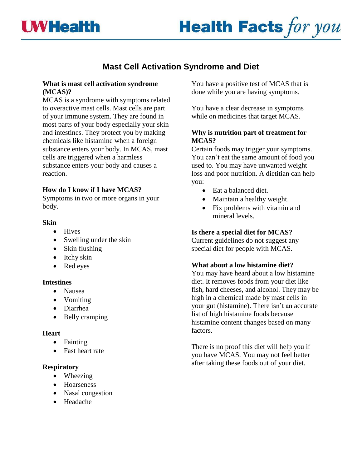



# **Mast Cell Activation Syndrome and Diet**

## **What is mast cell activation syndrome (MCAS)?**

MCAS is a syndrome with symptoms related to overactive [mast cells.](https://www.sciencedirect.com/topics/medicine-and-dentistry/mast-cell) Mast cells are part of your immune system. They are found in most parts of your body especially your skin and intestines. They protect you by making chemicals like histamine when a foreign substance enters your body. In MCAS, mast cells are triggered when a harmless substance enters your body and causes a reaction.

# **How do I know if I have MCAS?**

Symptoms in two or more organs in your body.

## **Skin**

- Hives
- [Swelling](https://www.sciencedirect.com/topics/medicine-and-dentistry/angioedema) under the skin
- Skin flushing
- [Itchy](https://www.sciencedirect.com/topics/medicine-and-dentistry/pruritus) skin
- Red eyes

#### **Intestines**

- Nausea
- Vomiting
- Diarrhea
- Belly cramping

#### **Heart**

- Fainting
- [Fast](https://www.sciencedirect.com/topics/medicine-and-dentistry/tachycardia) heart rate

#### **Respiratory**

- Wheezing
- Hoarseness
- [Nasal congestion](https://www.sciencedirect.com/topics/medicine-and-dentistry/nasal-congestion)
- Headache

You have a positive test of MCAS that is done while you are having symptoms.

You have a clear decrease in symptoms while on medicines that target MCAS.

# **Why is nutrition part of treatment for MCAS?**

Certain foods may trigger your symptoms. You can't eat the same amount of food you used to. You may have unwanted weight loss and poor nutrition. A dietitian can help you:

- Eat a balanced diet.
- Maintain a healthy weight.
- Fix problems with vitamin and mineral levels.

## **Is there a special diet for MCAS?**

Current guidelines do not suggest any special diet for people with MCAS.

#### **What about a low histamine diet?**

You may have heard about a low histamine diet. It removes foods from your diet like fish, hard cheeses, and alcohol. They may be high in a chemical made by mast cells in your gut (histamine). There isn't an accurate list of high histamine foods because histamine content changes based on many factors.

There is no proof this diet will help you if you have MCAS. You may not feel better after taking these foods out of your diet.